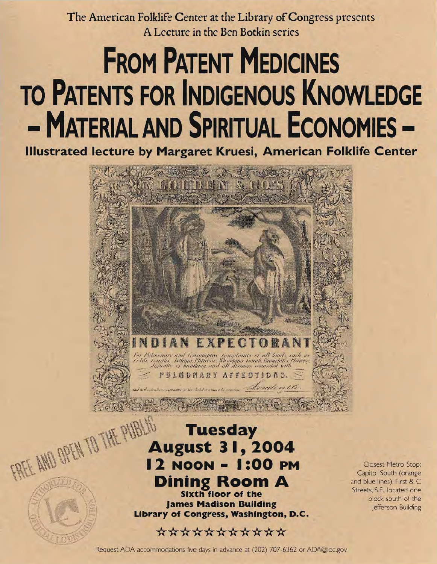The American Folklife Center at the Library of Congress presents **A Lecture in the Ben Botkin series** 

## **FROM PATENT MEDICINES TO PATENTS FOR INDIGENOUS KNOWLEDGE - MATERIAL AND SPIRITUAL ECONOMIES**

**Illustrated lecture by Margaret Kruesi, American Folklife Center** 



**Sixth floor of the James Madison Building Library of Congress, Washington, D.C.** 

## **\*\*\*\*\*\*\*\*\*\*\***

Closest Metro Stop: Capitol South (orange and blue lines), First & C Streets, S.E., located one block south of the Jefferson Building

Request ADA accommodations five days in advance at (202) 707-6362 or ADA@loc.gov